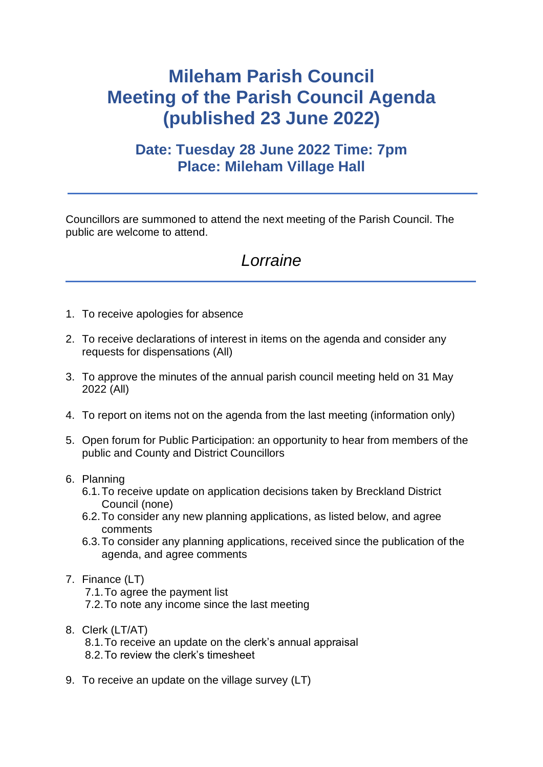## **Mileham Parish Council Meeting of the Parish Council Agenda (published 23 June 2022)**

## **Date: Tuesday 28 June 2022 Time: 7pm Place: Mileham Village Hall**

Councillors are summoned to attend the next meeting of the Parish Council. The public are welcome to attend.

## *Lorraine*

- 1. To receive apologies for absence
- 2. To receive declarations of interest in items on the agenda and consider any requests for dispensations (All)
- 3. To approve the minutes of the annual parish council meeting held on 31 May 2022 (All)
- 4. To report on items not on the agenda from the last meeting (information only)
- 5. Open forum for Public Participation: an opportunity to hear from members of the public and County and District Councillors
- 6. Planning
	- 6.1.To receive update on application decisions taken by Breckland District Council (none)
	- 6.2.To consider any new planning applications, as listed below, and agree comments
	- 6.3.To consider any planning applications, received since the publication of the agenda, and agree comments
- 7. Finance (LT)
	- 7.1.To agree the payment list
	- 7.2.To note any income since the last meeting
- 8. Clerk (LT/AT)

8.1.To receive an update on the clerk's annual appraisal 8.2.To review the clerk's timesheet

9. To receive an update on the village survey (LT)